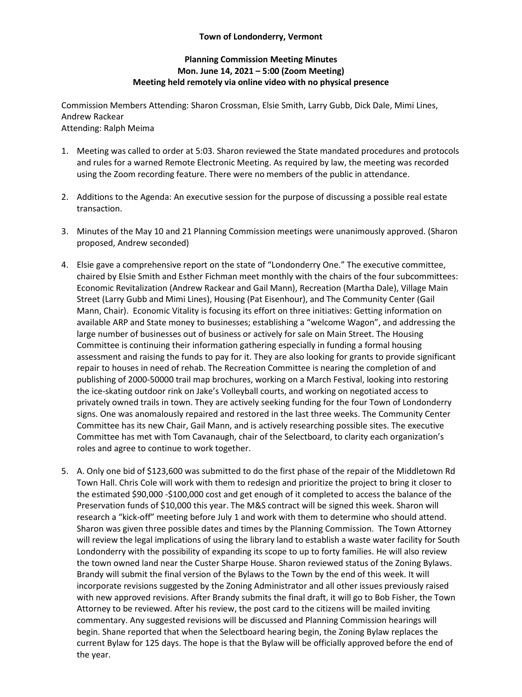## **Town of Londonderry, Vermont**

## **Planning Commission Meeting Minutes Mon. June 14, 2021 – 5:00 (Zoom Meeting) Meeting held remotely via online video with no physical presence**

Commission Members Attending: Sharon Crossman, Elsie Smith, Larry Gubb, Dick Dale, Mimi Lines, Andrew Rackear Attending: Ralph Meima

- 1. Meeting was called to order at 5:03. Sharon reviewed the State mandated procedures and protocols and rules for a warned Remote Electronic Meeting. As required by law, the meeting was recorded using the Zoom recording feature. There were no members of the public in attendance.
- 2. Additions to the Agenda: An executive session for the purpose of discussing a possible real estate transaction.
- 3. Minutes of the May 10 and 21 Planning Commission meetings were unanimously approved. (Sharon proposed, Andrew seconded)
- 4. Elsie gave a comprehensive report on the state of "Londonderry One." The executive committee, chaired by Elsie Smith and Esther Fichman meet monthly with the chairs of the four subcommittees: Economic Revitalization (Andrew Rackear and Gail Mann), Recreation (Martha Dale), Village Main Street (Larry Gubb and Mimi Lines), Housing (Pat Eisenhour), and The Community Center (Gail Mann, Chair). Economic Vitality is focusing its effort on three initiatives: Getting information on available ARP and State money to businesses; establishing a "welcome Wagon", and addressing the large number of businesses out of business or actively for sale on Main Street. The Housing Committee is continuing their information gathering especially in funding a formal housing assessment and raising the funds to pay for it. They are also looking for grants to provide significant repair to houses in need of rehab. The Recreation Committee is nearing the completion of and publishing of 2000-50000 trail map brochures, working on a March Festival, looking into restoring the ice-skating outdoor rink on Jake's Volleyball courts, and working on negotiated access to privately owned trails in town. They are actively seeking funding for the four Town of Londonderry signs. One was anomalously repaired and restored in the last three weeks. The Community Center Committee has its new Chair, Gail Mann, and is actively researching possible sites. The executive Committee has met with Tom Cavanaugh, chair of the Selectboard, to clarity each organization's roles and agree to continue to work together.
- 5. A. Only one bid of \$123,600 was submitted to do the first phase of the repair of the Middletown Rd Town Hall. Chris Cole will work with them to redesign and prioritize the project to bring it closer to the estimated \$90,000 -\$100,000 cost and get enough of it completed to access the balance of the Preservation funds of \$10,000 this year. The M&S contract will be signed this week. Sharon will research a "kick-off" meeting before July 1 and work with them to determine who should attend. Sharon was given three possible dates and times by the Planning Commission. The Town Attorney will review the legal implications of using the library land to establish a waste water facility for South Londonderry with the possibility of expanding its scope to up to forty families. He will also review the town owned land near the Custer Sharpe House. Sharon reviewed status of the Zoning Bylaws. Brandy will submit the final version of the Bylaws to the Town by the end of this week. It will incorporate revisions suggested by the Zoning Administrator and all other issues previously raised with new approved revisions. After Brandy submits the final draft, it will go to Bob Fisher, the Town Attorney to be reviewed. After his review, the post card to the citizens will be mailed inviting commentary. Any suggested revisions will be discussed and Planning Commission hearings will begin. Shane reported that when the Selectboard hearing begin, the Zoning Bylaw replaces the current Bylaw for 125 days. The hope is that the Bylaw will be officially approved before the end of the year.